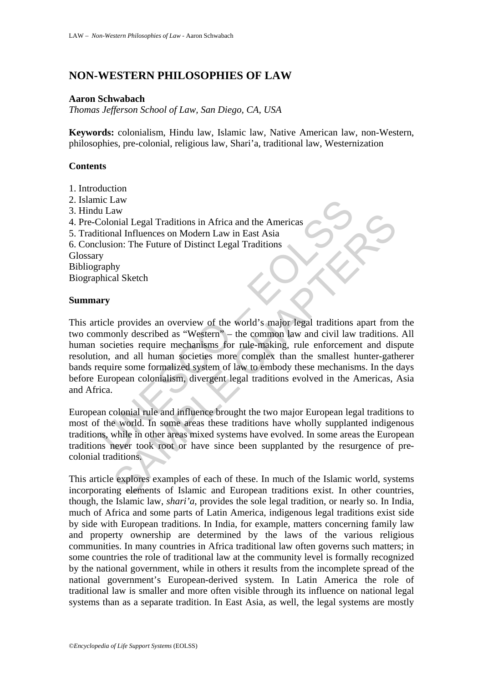# **NON-WESTERN PHILOSOPHIES OF LAW**

### **Aaron Schwabach**

*Thomas Jefferson School of Law, San Diego, CA, USA* 

**Keywords:** colonialism, Hindu law, Islamic law, Native American law, non-Western, philosophies, pre-colonial, religious law, Shari'a, traditional law, Westernization

## **Contents**

- 1. Introduction
- 2. Islamic Law
- 3. Hindu Law
- 4. Pre-Colonial Legal Traditions in Africa and the Americas
- 5. Traditional Influences on Modern Law in East Asia
- 6. Conclusion: The Future of Distinct Legal Traditions

Glossary

Bibliography

Biographical Sketch

#### **Summary**

ILAW<br>
ILAW<br>
Lolonial Legal Traditions in Africa and the Americas<br>
Colonial Influences on Modern Law in East Asia<br>
Ilusion: The Future of Distinct Legal Traditions<br>
y<br>
y<br>
raphy<br>
wry<br>
raphy<br>
wry<br>
raphy<br>
wry<br>
raphy<br>
wry<br>
cicl The model of the same of the Same of the Same of the Same of Same Carpetter in the Same of The Future of Distinct Legal Traditions<br>and Influences on Modern Law in East Asia<br>hyperal Influences an overview of the world's maj This article provides an overview of the world's major legal traditions apart from the two commonly described as "Western" – the common law and civil law traditions. All human societies require mechanisms for rule-making, rule enforcement and dispute resolution, and all human societies more complex than the smallest hunter-gatherer bands require some formalized system of law to embody these mechanisms. In the days before European colonialism, divergent legal traditions evolved in the Americas, Asia and Africa.

European colonial rule and influence brought the two major European legal traditions to most of the world. In some areas these traditions have wholly supplanted indigenous traditions, while in other areas mixed systems have evolved. In some areas the European traditions never took root or have since been supplanted by the resurgence of precolonial traditions.

This article explores examples of each of these. In much of the Islamic world, systems incorporating elements of Islamic and European traditions exist. In other countries, though, the Islamic law, *shari'a*, provides the sole legal tradition, or nearly so. In India, much of Africa and some parts of Latin America, indigenous legal traditions exist side by side with European traditions. In India, for example, matters concerning family law and property ownership are determined by the laws of the various religious communities. In many countries in Africa traditional law often governs such matters; in some countries the role of traditional law at the community level is formally recognized by the national government, while in others it results from the incomplete spread of the national government's European-derived system. In Latin America the role of traditional law is smaller and more often visible through its influence on national legal systems than as a separate tradition. In East Asia, as well, the legal systems are mostly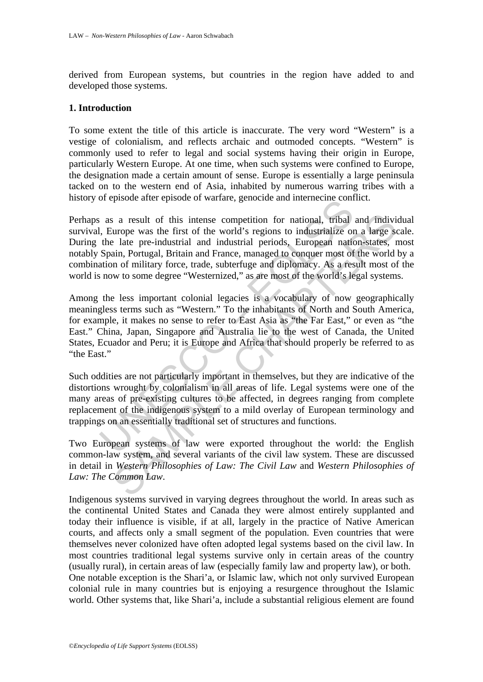derived from European systems, but countries in the region have added to and developed those systems.

#### **1. Introduction**

To some extent the title of this article is inaccurate. The very word "Western" is a vestige of colonialism, and reflects archaic and outmoded concepts. "Western" is commonly used to refer to legal and social systems having their origin in Europe, particularly Western Europe. At one time, when such systems were confined to Europe, the designation made a certain amount of sense. Europe is essentially a large peninsula tacked on to the western end of Asia, inhabited by numerous warring tribes with a history of episode after episode of warfare, genocide and internecine conflict.

and a result of this intense competition for national, tribal, Europe was the first of the world's regions to industrialize or the late pre-industrial and industrial periods, European nations (Spain, Portugal, Britain and s a result of this intense competition for national, tribal and indivium<br>ope was the first of the world's regions to industrialize on a large sellate pre-industrial and industrial periods. European nation-states, reading, Perhaps as a result of this intense competition for national, tribal and individual survival, Europe was the first of the world's regions to industrialize on a large scale. During the late pre-industrial and industrial periods, European nation-states, most notably Spain, Portugal, Britain and France, managed to conquer most of the world by a combination of military force, trade, subterfuge and diplomacy. As a result most of the world is now to some degree "Westernized," as are most of the world's legal systems.

Among the less important colonial legacies is a vocabulary of now geographically meaningless terms such as "Western." To the inhabitants of North and South America, for example, it makes no sense to refer to East Asia as "the Far East," or even as "the East." China, Japan, Singapore and Australia lie to the west of Canada, the United States, Ecuador and Peru; it is Europe and Africa that should properly be referred to as "the East."

Such oddities are not particularly important in themselves, but they are indicative of the distortions wrought by colonialism in all areas of life. Legal systems were one of the many areas of pre-existing cultures to be affected, in degrees ranging from complete replacement of the indigenous system to a mild overlay of European terminology and trappings on an essentially traditional set of structures and functions.

Two European systems of law were exported throughout the world: the English common-law system, and several variants of the civil law system. These are discussed in detail in *Western Philosophies of Law: The Civil Law* and *Western Philosophies of Law: The Common Law*.

Indigenous systems survived in varying degrees throughout the world. In areas such as the continental United States and Canada they were almost entirely supplanted and today their influence is visible, if at all, largely in the practice of Native American courts, and affects only a small segment of the population. Even countries that were themselves never colonized have often adopted legal systems based on the civil law. In most countries traditional legal systems survive only in certain areas of the country (usually rural), in certain areas of law (especially family law and property law), or both. One notable exception is the Shari'a, or Islamic law, which not only survived European colonial rule in many countries but is enjoying a resurgence throughout the Islamic world. Other systems that, like Shari'a, include a substantial religious element are found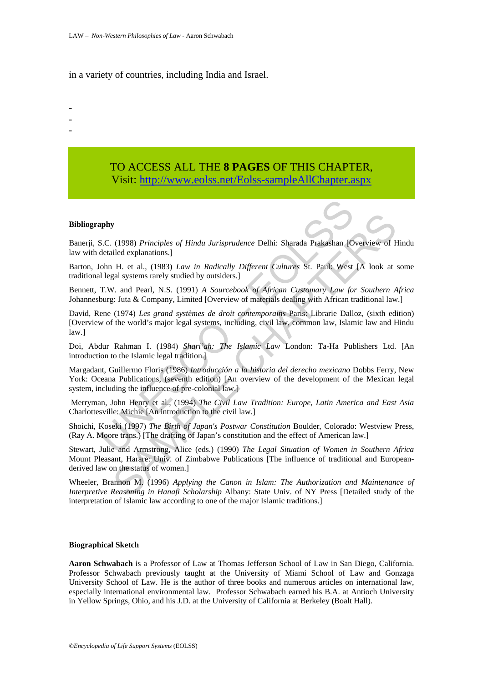in a variety of countries, including India and Israel.

-

- -
- -

## TO ACCESS ALL THE **8 PAGES** OF THIS CHAPTER, Visi[t: http://www.eolss.net/Eolss-sampleAllChapter.aspx](https://www.eolss.net/ebooklib/sc_cart.aspx?File=E6-31-01-03)

#### **Bibliography**

Banerji, S.C. (1998) *Principles of Hindu Jurisprudence* Delhi: Sharada Prakashan [Overview of Hindu law with detailed explanations.]

Barton, John H. et al., (1983) *Law in Radically Different Cultures* St. Paul: West [A look at some traditional legal systems rarely studied by outsiders.]

Bennett, T.W. and Pearl, N.S. (1991) *A Sourcebook of African Customary Law for Southern Africa* Johannesburg: Juta & Company, Limited [Overview of materials dealing with African traditional law.]

David, Rene (1974) *Les grand systèmes de droit contemporains* Paris: Librarie Dalloz, (sixth edition) [Overview of the world's major legal systems, including, civil law, common law, Islamic law and Hindu law.]

Doi, Abdur Rahman I. (1984) *Shari'ah: The Islamic Law* London: Ta-Ha Publishers Ltd. [An introduction to the Islamic legal tradition.]

**aphy**<br> **aphy**<br> **aphy**<br> **sC.** (1998) *Principles of Hindu Jurisprudence* Delhi: Sharada Prakashan [O<br>
detailed explanations.]<br>
Union H. et al., (1983) *Law in Radically Different Cultures* St. Paul: West<br>
oll legal systems **(1998)** *Principles of Hindu Jurisprudence* Delhi: Sharada Prakashan [Overview of Hilded explanations.]<br>
I.H. et al., (1983) *Law in Radically Different Cultures* St. Paul: West [A look at sal systems rarcly studied by ou Margadant, Guillermo Floris (1986) *Introducción a la historia del derecho mexicano* Dobbs Ferry, New York: Oceana Publications, (seventh edition) [An overview of the development of the Mexican legal system, including the influence of pre-colonial law.]

 Merryman, John Henry et al., (1994) *The Civil Law Tradition: Europe, Latin America and East Asia* Charlottesville: Michie [An introduction to the civil law.]

Shoichi, Koseki (1997) *The Birth of Japan's Postwar Constitution* Boulder, Colorado: Westview Press, (Ray A. Moore trans.) [The drafting of Japan's constitution and the effect of American law.]

Stewart, Julie and Armstrong, Alice (eds.) (1990) *The Legal Situation of Women in Southern Africa* Mount Pleasant, Harare: Univ. of Zimbabwe Publications [The influence of traditional and Europeanderived law on the status of women.]

Wheeler, Brannon M. (1996) *Applying the Canon in Islam: The Authorization and Maintenance of Interpretive Reasoning in Hanafi Scholarship* Albany: State Univ. of NY Press [Detailed study of the interpretation of Islamic law according to one of the major Islamic traditions.]

#### **Biographical Sketch**

**Aaron Schwabach** is a Professor of Law at Thomas Jefferson School of Law in San Diego, California. Professor Schwabach previously taught at the University of Miami School of Law and Gonzaga University School of Law. He is the author of three books and numerous articles on international law, especially international environmental law. Professor Schwabach earned his B.A. at Antioch University in Yellow Springs, Ohio, and his J.D. at the University of California at Berkeley (Boalt Hall).